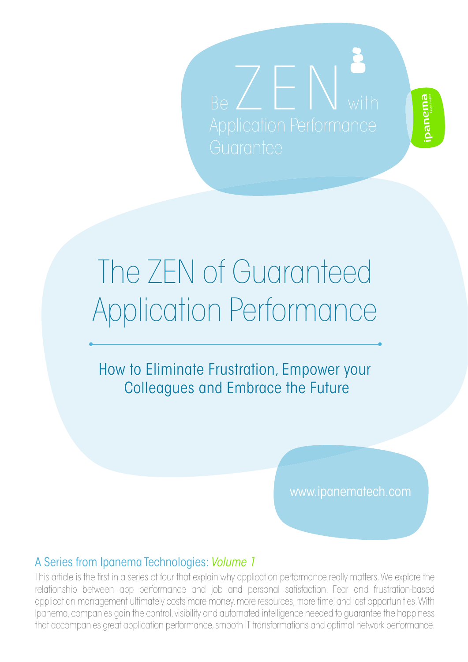

# The ZEN of Guaranteed The ZEN of Guaranteed Application Performance Application Performance

How to Eliminate Frustration, Empower your How to Eliminate Frustration, Empower your Colleagues and Embrace the Future Colleagues and Embrace the Future

www.ipanematech.com

#### A Series from Ipanema Technologies: *Volume 1*

This article is the first in a series of four that explain why application performance really matters. We explore the relationship between app performance and job and personal satisfaction. Fear and frustration-based application management ultimately costs more money, more resources, more time, and lost opportunities. With Ipanema, companies gain the control, visibility and automated intelligence needed to guarantee the happiness that accompanies great application performance, smooth IT transformations and optimal network performance.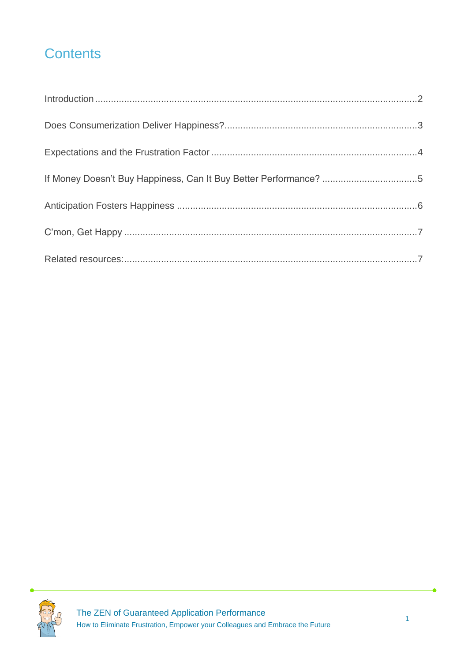## **Contents**

| If Money Doesn't Buy Happiness, Can It Buy Better Performance? 5 |  |
|------------------------------------------------------------------|--|
|                                                                  |  |
|                                                                  |  |
|                                                                  |  |

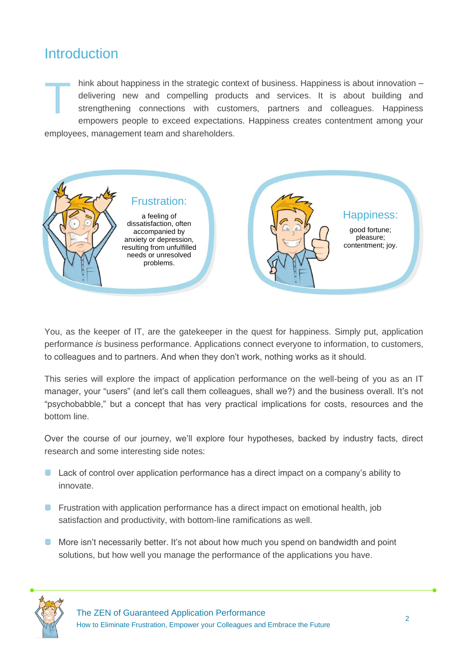#### <span id="page-2-0"></span>**Introduction**

hink about happiness in the strategic context of business. Happiness is about innovation – delivering new and compelling products and services. It is about building and strengthening connections with customers, partners and colleagues. Happiness empowers people to exceed expectations. Happiness creates contentment among your employees, management team and shareholders. T



You, as the keeper of IT, are the gatekeeper in the quest for happiness. Simply put, application performance *is* business performance. Applications connect everyone to information, to customers, to colleagues and to partners. And when they don't work, nothing works as it should.

This series will explore the impact of application performance on the well-being of you as an IT manager, your "users" (and let's call them colleagues, shall we?) and the business overall. It's not "psychobabble," but a concept that has very practical implications for costs, resources and the bottom line.

Over the course of our journey, we'll explore four hypotheses, backed by industry facts, direct research and some interesting side notes:

- **Lack of control over application performance has a direct impact on a company's ability to** innovate.
- **•** Frustration with application performance has a direct impact on emotional health, job satisfaction and productivity, with bottom-line ramifications as well.
- **More isn't necessarily better. It's not about how much you spend on bandwidth and point** solutions, but how well you manage the performance of the applications you have.

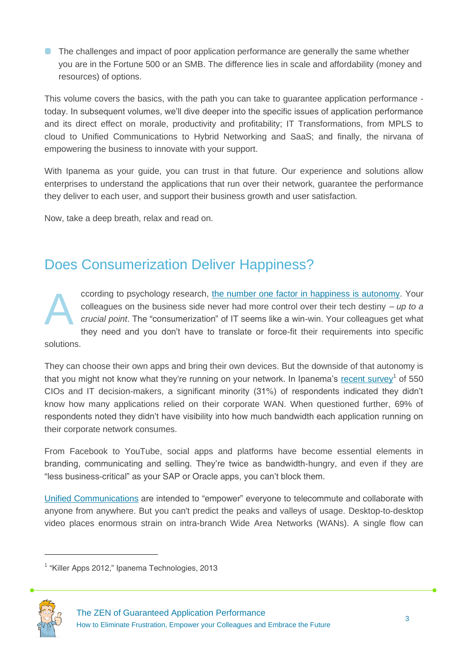**The challenges and impact of poor application performance are generally the same whether** you are in the Fortune 500 or an SMB. The difference lies in scale and affordability (money and resources) of options.

This volume covers the basics, with the path you can take to guarantee application performance today. In subsequent volumes, we'll dive deeper into the specific issues of application performance and its direct effect on morale, productivity and profitability; IT Transformations, from MPLS to cloud to Unified Communications to Hybrid Networking and SaaS; and finally, the nirvana of empowering the business to innovate with your support.

With Ipanema as your guide, you can trust in that future. Our experience and solutions allow enterprises to understand the applications that run over their network, guarantee the performance they deliver to each user, and support their business growth and user satisfaction.

Now, take a deep breath, relax and read on.

#### <span id="page-3-0"></span>Does Consumerization Deliver Happiness?

ccording to psychology research, [the number one factor in happiness is autonomy.](http://www.psychologytoday.com/blog/bouncing-back/201106/the-no-1-contributor-happiness) Your colleagues on the business side never had more control over their tech destiny *– up to a crucial point*. The "consumerization" of IT seems like a win-win. Your colleagues get what they need and you don't have to translate or force-fit their requirements into specific A

solutions.

They can choose their own apps and bring their own devices. But the downside of that autonomy is that you might not know what they're running on your network. In Ipanema's [recent survey](http://www.ipanematech.com/wbNewsFront/newsDetail/id/118/wb_culture/en)<sup>1</sup> of 550 CIOs and IT decision-makers, a significant minority (31%) of respondents indicated they didn't know how many applications relied on their corporate WAN. When questioned further, 69% of respondents noted they didn't have visibility into how much bandwidth each application running on their corporate network consumes.

From Facebook to YouTube, social apps and platforms have become essential elements in branding, communicating and selling. They're twice as bandwidth-hungry, and even if they are "less business-critical" as your SAP or Oracle apps, you can't block them.

[Unified Communications](http://www.ipanematech.com/en/protect-unified-communications) are intended to "empower" everyone to telecommute and collaborate with anyone from anywhere. But you can't predict the peaks and valleys of usage. Desktop-to-desktop video places enormous strain on intra-branch Wide Area Networks (WANs). A single flow can

<sup>&</sup>lt;sup>1</sup> "Killer Apps 2012," Ipanema Technologies, 2013



**.**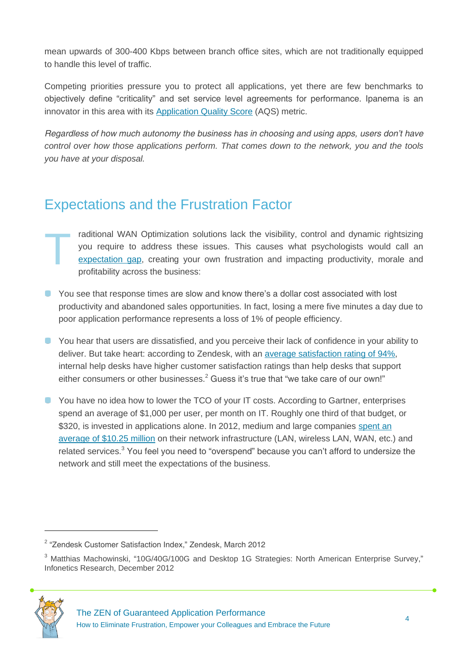mean upwards of 300-400 Kbps between branch office sites, which are not traditionally equipped to handle this level of traffic.

Competing priorities pressure you to protect all applications, yet there are few benchmarks to objectively define "criticality" and set service level agreements for performance. Ipanema is an innovator in this area with its [Application Quality Score](http://www.ipanematech.com/en/application-visibility) (AQS) metric.

*Regardless of how much autonomy the business has in choosing and using apps, users don't have control over how those applications perform. That comes down to the network, you and the tools you have at your disposal.* 

#### <span id="page-4-0"></span>Expectations and the Frustration Factor

- raditional WAN Optimization solutions lack the visibility, control and dynamic rightsizing you require to address these issues. This causes what psychologists would call an [expectation gap,](http://www.psychologytoday.com/blog/happiness-in-world/201204/how-manage-diminishing-tolerance) creating your own frustration and impacting productivity, morale and profitability across the business: T
- **P** You see that response times are slow and know there's a dollar cost associated with lost productivity and abandoned sales opportunities. In fact, losing a mere five minutes a day due to poor application performance represents a loss of 1% of people efficiency.
- **O** You hear that users are dissatisfied, and you perceive their lack of confidence in your ability to deliver. But take heart: according to Zendesk, with an [average satisfaction rating of 94%,](http://www.slideshare.net/zendesk/zendesk-customer-satisfaction-report) internal help desks have higher customer satisfaction ratings than help desks that support either consumers or other businesses.<sup>2</sup> Guess it's true that "we take care of our own!"
- You have no idea how to lower the TCO of your IT costs. According to Gartner, enterprises spend an average of \$1,000 per user, per month on IT. Roughly one third of that budget, or \$320, is invested in applications alone. In 2012, medium and large companies spent an [average of \\$10.25 million](http://www.infonetics.com/pr/2012/Enterprise-Plans-for-10G-40G-100G-Desktop-1G-Survey-Highlights.asp) on their network infrastructure (LAN, wireless LAN, WAN, etc.) and related services.<sup>3</sup> You feel you need to "overspend" because you can't afford to undersize the network and still meet the expectations of the business.

<sup>&</sup>lt;sup>3</sup> Matthias Machowinski, "10G/40G/100G and Desktop 1G Strategies: North American Enterprise Survey," Infonetics Research, December 2012



**.** 

<sup>&</sup>lt;sup>2</sup> "Zendesk Customer Satisfaction Index," Zendesk, March 2012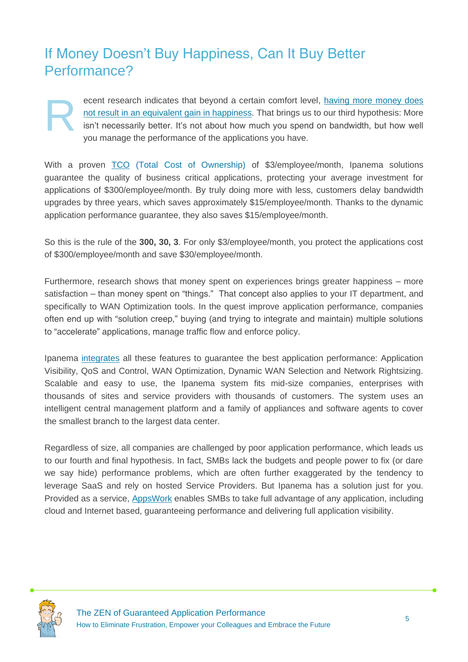#### <span id="page-5-0"></span>If Money Doesn't Buy Happiness, Can It Buy Better Performance?

ecent research indicates that beyond a certain comfort level, [having more money does](http://www.youtube.com/watch?v=JSIkdWxotKw)  [not result in an equivalent gain in happiness.](http://www.youtube.com/watch?v=JSIkdWxotKw) That brings us to our third hypothesis: More isn't necessarily better. It's not about how much you spend on bandwidth, but how well you manage the performance of the applications you have. R

With a proven [TCO](http://www.ipanematech.com/en/reduce-it-spending) (Total Cost of Ownership) of \$3/employee/month, Ipanema solutions guarantee the quality of business critical applications, protecting your average investment for applications of \$300/employee/month. By truly doing more with less, customers delay bandwidth upgrades by three years, which saves approximately \$15/employee/month. Thanks to the dynamic application performance guarantee, they also saves \$15/employee/month.

So this is the rule of the **300, 30, 3**. For only \$3/employee/month, you protect the applications cost of \$300/employee/month and save \$30/employee/month.

Furthermore, research shows that money spent on experiences brings greater happiness – more satisfaction – than money spent on "things." That concept also applies to your IT department, and specifically to WAN Optimization tools. In the quest improve application performance, companies often end up with "solution creep," buying (and trying to integrate and maintain) multiple solutions to "accelerate" applications, manage traffic flow and enforce policy.

Ipanema [integrates](http://www.ipanematech.com/en/technology) all these features to guarantee the best application performance: Application Visibility, QoS and Control, WAN Optimization, Dynamic WAN Selection and Network Rightsizing. Scalable and easy to use, the Ipanema system fits mid-size companies, enterprises with thousands of sites and service providers with thousands of customers. The system uses an intelligent central management platform and a family of appliances and software agents to cover the smallest branch to the largest data center.

Regardless of size, all companies are challenged by poor application performance, which leads us to our fourth and final hypothesis. In fact, SMBs lack the budgets and people power to fix (or dare we say hide) performance problems, which are often further exaggerated by the tendency to leverage SaaS and rely on hosted Service Providers. But Ipanema has a solution just for you. Provided as a service, [AppsWork](http://www.ipanematech.com/en/as-a-service) enables SMBs to take full advantage of any application, including cloud and Internet based, guaranteeing performance and delivering full application visibility.

<span id="page-5-1"></span>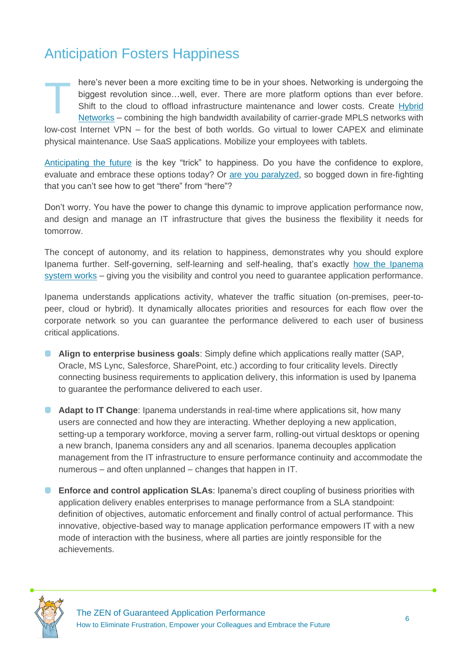#### Anticipation Fosters Happiness

here's never been a more exciting time to be in your shoes. Networking is undergoing the biggest revolution since…well, ever. There are more platform options than ever before. Shift to the cloud to offload infrastructure maintenance and lower costs. Create [Hybrid](http://www.ipanematech.com/en/deploy-hybrid-networks)  [Networks](http://www.ipanematech.com/en/deploy-hybrid-networks) – combining the high bandwidth availability of carrier-grade MPLS networks with low-cost Internet VPN – for the best of both worlds. Go virtual to lower CAPEX and eliminate physical maintenance. Use SaaS applications. Mobilize your employees with tablets. T

[Anticipating the future](http://www.psychologytoday.com/blog/the-happiness-project/201102/get-more-bang-your-happiness-buck-revel-in-anticipation) is the key "trick" to happiness. Do you have the confidence to explore, evaluate and embrace these options today? Or [are you paralyzed,](http://www.forbes.com/sites/forbesleadershipforum/2012/09/26/how-to-use-optimism-to-defeat-adversity/) so bogged down in fire-fighting that you can't see how to get "there" from "here"?

Don't worry. You have the power to change this dynamic to improve application performance now, and design and manage an IT infrastructure that gives the business the flexibility it needs for tomorrow.

The concept of autonomy, and its relation to happiness, demonstrates why you should explore Ipanema further. Self-governing, self-learning and self-healing, that's exactly [how the Ipanema](http://www.ipanematech.com/en/autonomic-network-system)  [system works](http://www.ipanematech.com/en/autonomic-network-system) – giving you the visibility and control you need to guarantee application performance.

Ipanema understands applications activity, whatever the traffic situation (on-premises, peer-topeer, cloud or hybrid). It dynamically allocates priorities and resources for each flow over the corporate network so you can guarantee the performance delivered to each user of business critical applications.

- **Align to enterprise business goals**: Simply define which applications really matter (SAP, Oracle, MS Lync, Salesforce, SharePoint, etc.) according to four criticality levels. Directly connecting business requirements to application delivery, this information is used by Ipanema to guarantee the performance delivered to each user.
- **Adapt to IT Change:** Ipanema understands in real-time where applications sit, how many users are connected and how they are interacting. Whether deploying a new application, setting-up a temporary workforce, moving a server farm, rolling-out virtual desktops or opening a new branch, Ipanema considers any and all scenarios. Ipanema decouples application management from the IT infrastructure to ensure performance continuity and accommodate the numerous – and often unplanned – changes that happen in IT.
- **Enforce and control application SLAs:** Ipanema's direct coupling of business priorities with application delivery enables enterprises to manage performance from a SLA standpoint: definition of objectives, automatic enforcement and finally control of actual performance. This innovative, objective-based way to manage application performance empowers IT with a new mode of interaction with the business, where all parties are jointly responsible for the achievements.

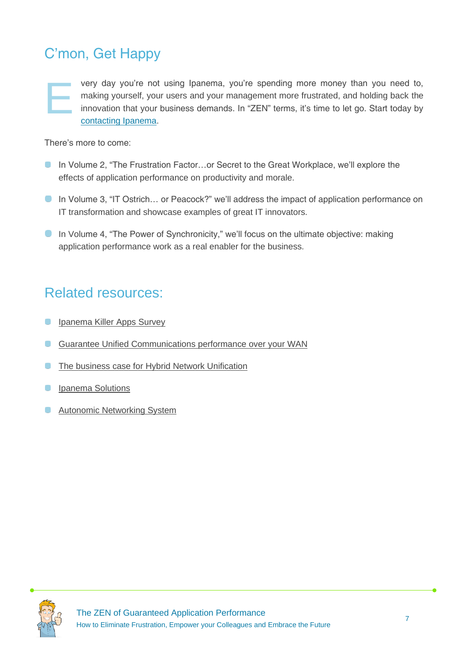### <span id="page-7-0"></span>C'mon, Get Happy

very day you're not using Ipanema, you're spending more money than you need to, making yourself, your users and your management more frustrated, and holding back the innovation that your business demands. In "ZEN" terms, it's time to let go. Start today by [contacting Ipanema.](http://www.ipanematech.com/en/contact) E

There's more to come:

- In Volume 2, "The Frustration Factor...or Secret to the Great Workplace, we'll explore the effects of application performance on productivity and morale.
- **In Volume 3, "IT Ostrich... or Peacock?" we'll address the impact of application performance on** IT transformation and showcase examples of great IT innovators.
- In Volume 4, "The Power of Synchronicity," we'll focus on the ultimate objective: making application performance work as a real enabler for the business.

#### <span id="page-7-1"></span>Related resources:

- $\bullet$ [Ipanema Killer Apps Survey](http://www.ipanematech.com/wbNewsFront/newsDetail/id/118/wb_culture/en)
- **C** [Guarantee Unified Communications performance over your WAN](http://response.ipanematech.com/WP_Unified_Communications_EN?i=147)
- **C** [The business case for Hybrid Network Unification](http://response.ipanematech.com/WP_Hybrid_Network_Unification_EN?i=122)
- [Ipanema Solutions](http://www.ipanematech.com/en/technology)  $\bullet$
- [Autonomic Networking System](http://www.ipanematech.com/en/autonomic-network-system)  $\bullet$